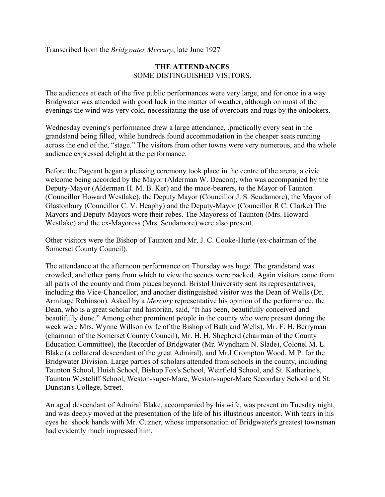Transcribed from the *Bridgwater Mercury*, late June 1927

## **THE ATTENDANCES** SOME DISTINGUISHED VISITORS.

The audiences at each of the five public performances were very large, and for once in a way Bridgwater was attended with good luck in the matter of weather, although on most of the evenings the wind was very cold, necessitating the use of overcoats and rugs by the onlookers.

Wednesday evening's performance drew a large attendance, .practically every seat in the grandstand being filled, while hundreds found accommodation in the cheaper seats running across the end of the, "stage." The visitors from other towns were very numerous, and the whole audience expressed delight at the performance.

Before the Pageant began a pleasing ceremony took place in the centre of the arena, a civic welcome being accorded by the Mayor (Alderman W. Deacon), who was accompanied by the Deputy-Mayor (Alderman H. M. B. Ker) and the mace-bearers, to the Mayor of Taunton (Councillor Howard Westlake), the Deputy Mayor (Councillor J. S. Scudamore), the Mayor of Glastonbury (Councillor C. V. Heaphy) and the Deputy-Mayor (Councillor R C. Clarke) The Mayors and Deputy-Mayors wore their robes. The Mayoress of Taunton (Mrs. Howard Westlake) and the ex-Mayoress (Mrs. Scudamore) were also present.

Other visitors were the Bishop of Taunton and Mr. J. C. Cooke-Hurle (ex-chairman of the Somerset County Council).

The attendance at the afternoon performance on Thursday was huge. The grandstand was crowded, and other parts from which to view the scenes were packed. Again visitors came from all parts of the county and from places beyond. Bristol University sent its representatives, including the Vice-Chancellor, and another distinguished visitor was the Dean of Wells (Dr. Armitage Robinson). Asked by a *Mercury* representative his opinion of the performance, the Dean, who is a great scholar and historian, said, "It has been, beautifully conceived and beautifully done." Among other prominent people in the county who were present during the week were Mrs. Wynne Willson (wife of the Bishop of Bath and Wells), Mr. F. H. Berryman (chairman of the Somerset County Council), Mr. H. H. Shepherd (chairman of the County Education Committee), the Recorder of Bridgwater (Mr. Wyndham N. Slade), Colonel M. L. Blake (a collateral descendant of the great Admiral), and Mr.I Crompton Wood, M.P. for the Bridgwater Division. Large parties of scholars attended from schools in the county, including Taunton School, Huish School, Bishop Fox's School, Weirfield School, and St. Katherine's, Taunton Westcliff School, Weston-super-Mare, Weston-super-Mare Secondary School and St. Dunstan's College, Street.

An aged descendant of Admiral Blake, accompanied by his wife, was present on Tuesday night, and was deeply moved at the presentation of the life of his illustrious ancestor. With tears in his eyes he shook hands with Mr. Cuzner, whose impersonation of Bridgwater's greatest townsman had evidently much impressed him.